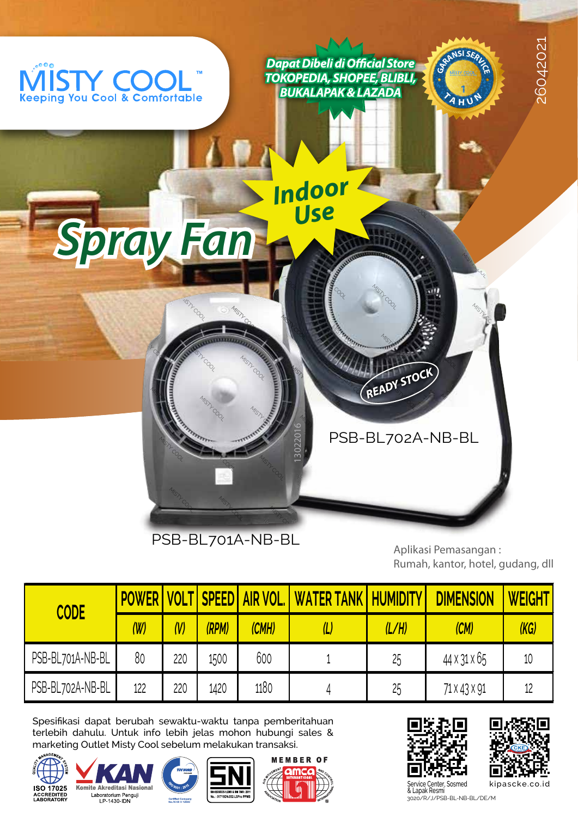

PSB-BL701A-NB-BL<br>Aplikasi Pemasangan<br>Rumah, kantor, hotel, ang, d Aplikasi Pemasangan :<br>Rumah, kantor, hotel, gudang, dll Aplikasi Pemasangan :

|                  |                |          |       |                                  |                              |       | $\frac{1}{2}$    |               |
|------------------|----------------|----------|-------|----------------------------------|------------------------------|-------|------------------|---------------|
| <b>CODE</b>      |                |          |       | <b>POWER VOLT SPEED AIR VOL.</b> | <u>I WATER TANK HUMIDITY</u> |       | <b>DIMENSION</b> | <b>WEIGHT</b> |
|                  | $(\mathsf{W})$ | $\omega$ | (RPM) | (CMH)                            | (L                           | (L/H) | (CM)             | (KG)          |
| PSB-BL701A-NB-BL | 80             | 220      | 1500  | 600                              |                              | 25    | 44 X 31 X 65     | 10            |
| PSB-BL702A-NB-BL | 122            | 220      | 1420  | 1180                             | 4                            | 25    | 71 X 43 X 91     | 12            |

spesifikasi dapat berubah sewaktu-waktu tanpa pemberitahuan<br>tarlahih dabulu Untuk info lahih ialas mahan buhungi selas 8 terlebih dahulu. Untuk info lebih jelas mohon hubungi sales & marketing Outlet Misty Cool sebelum melakukan transaksi.













3020/R/J/PSB-BL-NB-BL/DE/M Service Center, Sosmed<br>& Lapak Resmi